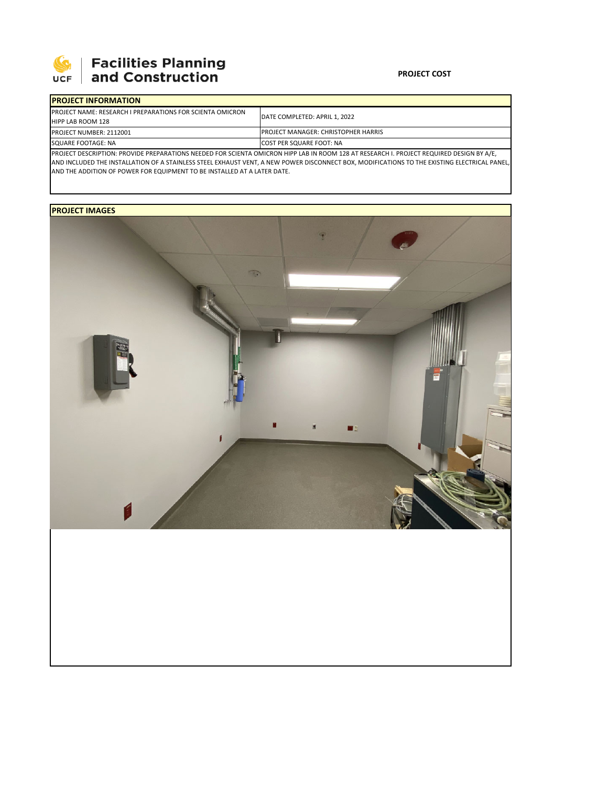

## **Facilities Planning<br>and Construction**

## **PROJECT COST**

| <b>IPROJECT INFORMATION</b>                                                                                                                      |                                             |  |  |  |
|--------------------------------------------------------------------------------------------------------------------------------------------------|---------------------------------------------|--|--|--|
| <b>PROJECT NAME: RESEARCH I PREPARATIONS FOR SCIENTA OMICRON</b><br><b>HIPP LAB ROOM 128</b>                                                     | <b>IDATE COMPLETED: APRIL 1, 2022</b>       |  |  |  |
| PROJECT NUMBER: 2112001                                                                                                                          | <b>IPROJECT MANAGER: CHRISTOPHER HARRIS</b> |  |  |  |
| SQUARE FOOTAGE: NA                                                                                                                               | <b>COST PER SQUARE FOOT: NA</b>             |  |  |  |
| <b>IPROJECT DESCRIPTION: PROVIDE PREPARATIONS NEEDED FOR SCIENTA OMICRON HIPP LAB IN ROOM 128 AT RESEARCH I. PROJECT REQUIRED DESIGN BY A/E,</b> |                                             |  |  |  |

AND INCLUDED THE INSTALLATION OF A STAINLESS STEEL EXHAUST VENT, A NEW POWER DISCONNECT BOX, MODIFICATIONS TO THE EXISTING ELECTRICAL PANEL, AND THE ADDITION OF POWER FOR EQUIPMENT TO BE INSTALLED AT A LATER DATE.

## **PROJECT IMAGES**